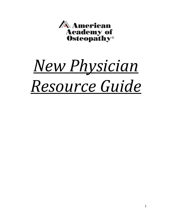

# *New Physician Resource Guide*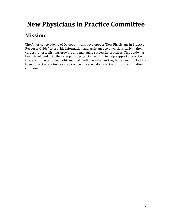## **New Physicians in Practice Committee**

## **Mission:**

The American Academy of Osteopathy has developed a "New Physicians in Practice Resource Guide" to provide information and assistance to physicians early in their careers for establishing, growing and managing successful practices. This guide has been developed with the osteopathic physician in mind to help support a practice that encompasses osteopathic manual medicine, whether they have a manipulationbased practice, a primary care practice or a specialty practice with a manipulation component.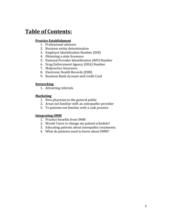### **Table of Contents:**

#### **Practice Establishment**

- 1. Professional advisors
- 2. Business entity determination
- 3. Employer Identification Number (EIN)
- 4. Obtaining a state licensure
- 5. National Provider Identification (NPI) Number
- 6. Drug Enforcement Agency (DEA) Number
- 7. Malpractice Insurance
- 8. Electronic Health Records (EHR)
- 9. Business Bank Account and Credit Card

#### **Networking**

1. Attracting referrals

#### **Marketing**

- 1. New physician to the general public
- 2. Areas not familiar with an osteopathic provider
- 3. To patients not familiar with a cash practice

#### **Integrating OMM**

- 1. Practice benefits from OMM
- 2. Would I have to change my patient schedule?
- 3. Educating patients about osteopathic treatments.
- 4. What do patients need to know about OMM?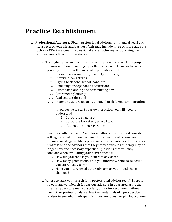## **Practice Establishment**

- 1. **Professional Advisors:** Obtain professional advisors for financial, legal and tax aspects of your life and business. This may include three or more advisors such as a CPA, investment professional and an attorney, or obtaining the services from a firm of professionals.
	- a. The higher your income the more value you will receive from proper management and planning by skilled professionals. Areas for which you may find yourself in need of expert advice include:
		- i. Personal insurance; life, disability, property;
		- ii. Individual tax returns;
		- iii. Paying back debt: school loans, etc.;
		- iv. Financing for dependant's education;
		- v. Estate tax planning and constructing a will;
		- vi. Retirement planning;
		- vii. Real estate sales; and
		- viii. Income structure (salary vs. bonus) or deferred compensation.

If you decide to start your own practice, you will need to understand

- 1. Corporate structure;
- 2. Corporate tax return, payroll tax;
- 3. Buying or selling a practice.
- b. If you currently have a CPA and/or an attorney, you should consider getting a second opinion from another as your professional and personal needs grow. Many physicians' needs evolve as their careers progress and the advisors that they started with in residency may no longer have the necessary expertise. Questions that you may consider when evaluating your current needs:
	- i. How did you choose your current advisors?
	- ii. How many professionals did you interview prior to selecting you current advisors?
	- iii. Have you interviewed other advisors as your needs have changed?
- c. Where to start your search for a professional advisor team? There is no easy answer. Search for various advisors in your area using the internet, your state medical society, or ask for recommendations from other professionals. Review the credentials of a prospective advisor to see what their qualifications are. Consider placing a phone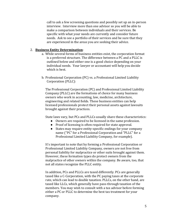call to ask a few screening questions and possibly set up an in-person interview. Interview more than one advisor so you will be able to make a comparison between individuals and their services. Be specific with what your needs are currently and consider future needs. Ask to see a portfolio of their services and be sure that they are experienced in the areas you are seeking their advice.

#### 2. **Business Entity Determination**:

- a. While several forms of business entities exist, the corporation format is a preferred structure. The difference between a PC and a PLLC is outlined below and either one is a good choice depending on your individual needs. Your lawyer or accountant will help you decide which is best.
- b. Professional Corporation (PC) vs. a Professional Limited Liability Corporation (PLLC):

The Professional Corporation (PC) and Professional Limited Liability Company (PLLC) are the formations of choice for many business owners who work in accounting, law, medicine, architecture, engineering and related fields. These business entities can help licensed professionals protect their personal assets against lawsuits brought against their practices.

State laws vary, but PCs and PLLCs usually share these characteristics:

- Owners are required to be licensed in the same profession.
- Proof of licensing is often required for state approval.
- States may require entity-specific endings for your company name ("PC" for a Professional Corporation and "PLLC" for a Professional Limited Liability Company, for example).

It's important to note that by forming a Professional Corporation or Professional Limited Liability Company, owners are not free from personal liability for malpractice or other suits brought against them. However, these formation types do protect owners from the malpractice of other owners within the company. Be aware, too, that not all states recognize the PLLC entity.

In addition, PCs and PLLCs are taxed differently. PCs are generally taxed like a C-Corporation, with the PC paying taxes at the corporate rate, which can lead to double taxation. PLLCs, on the other hand, are taxed like LLCs, which generally have pass-through taxation of the members. You may wish to consult with a tax advisor before forming either a PC or PLLC to determine the best tax treatment for your company.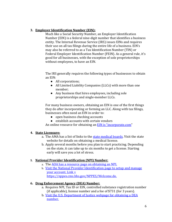#### **3. Employer Identification Number (EIN):**

Much like a Social Security Number, an Employer Identification Number (EIN) is a federal nine-digit number that identifies a business entity. The Internal Revenue Service (IRS) issues EINs and requires their use on all tax filings during the entire life of a business. EIN's may also be referred to as a Tax Identification Number (TIN) or Federal Employer Identification Number (FEIN). As a general rule, it's good for all businesses, with the exception of sole proprietorships without employees, to have an EIN.

The IRS generally requires the following types of businesses to obtain an EIN:

- All corporations;
- All Limited Liability Companies (LLCs) with more than one member;
- Any business that hires employees, including sole proprietorships and single-member LLCs.

For many business owners, obtaining an EIN is one of the first things they do after incorporating or forming an LLC. Along with tax filings, businesses often need an EIN in order to:

- open business checking accounts
- establish accounts with certain vendors

An online resource for obtaining an **EIN** is "incorporate.com"

#### **4. State Licensure:**

- a. The AMA has a list of links to the [state medical boards.](http://www.ama-assn.org/ama/pub/education-careers/becoming-physician/medical-licensure/state-medical-boards.page?) Visit the state website for details on obtaining a medical license.
- b. Apply several months before you plan to start practicing. Depending on the state, it can take up to six months to get a license. Starting early will save you a lot of stress.

#### **5. National Provider Identification (NPI) Number:**

- a. The [AOA has a resource page on obtaining an NPI.](http://www.osteopathic.org/inside-aoa/development/practice-mgt/Pages/npi-number.aspx)
- b. Visit the [National Provider Identification page](https://nppes.cms.hhs.gov/NPPES/Welcome.do) to setup and manage your account. Link = https://nppes.cms.hhs.gov/NPPES/Welcome.do.

#### **6. Drug Enforcement Agency (DEA) Number:**

- a. Requires NPI, Tax ID or EIN, controlled substance registration number (if applicable), license number and a fee of \$731 (for 3 years).
- b. [Visit the U.S. Department of Justice webpage for obtaining a DEA](https://www.deadiversion.usdoj.gov/webforms/jsp/regapps/common/newAppLogin.jsp)  [number.](https://www.deadiversion.usdoj.gov/webforms/jsp/regapps/common/newAppLogin.jsp)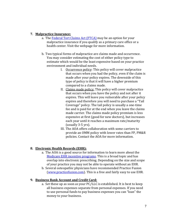#### **7. Malpractice Insurance:**

- a. The [Federal Tort Claims Act \(FTCA\)](http://bphc.hrsa.gov/ftca/healthcenters/index.html) may be an option for your malpractice insurance if you qualify as a primary care office or a health center. Visit the webpage for more information.
- b. Two typical forms of malpractice are claims made and occurrence. You may consider estimating the cost of either policy type to estimate which would be the least expensive based on your practice environment and individual needs.
	- I. Occurrence policy: This policy will cover malpractice that occurs when you had the policy, even if the claim is made after your policy expires. The downside of this type of policy is that it will have a higher premium compared to a claims made.
	- II. Claims made policy: This policy will cover malpractice that occurs when you have the policy and not after it expires. This will leave you vulnerable after your policy expires and therefore you will need to purchase a "Tail Coverage" policy. The tail policy is usually a one-time fee and is paid for at the end when you leave the claims made carrier. The claims made policy premium is less expensive at first (good for new doctors), but increases each year until it reaches a maximum rate/maturity (usually 3-5 yrs).
	- III. The AOA offers collaboration with some carriers to provide an OMM policy with lower rates than FP, PM&R policies. Contact the AOA for more information.

#### **8. Electronic Health Records (EHR):**

- a. The AOA is a good source for information to learn more about the Medicare EHR [incentive programs.](http://www.osteopathic.org/inside-aoa/development/practice-mgt/Pages/electronic-health-records.aspx) This is a broad topic and has overlap into electronic prescribing. Depending on the size and scope of your practice you may not be able to operate without an EHR.
- b. Several osteopathic physicians have recommended Practice Fusion [\(www.practicefusion.com\)](http://www.practicefusion.com/). This is a free and fairly easy to use EHR.

#### **9. Business Bank Account and Credit Card:**

a. Set these up as soon as your PC/LLC is established. It is best to keep all business expenses separate from personal expenses. If you need to use personal funds to pay business expenses you can "loan" the money to your business.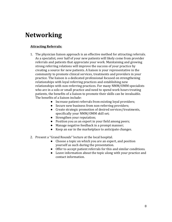## **Networking**

#### **Attracting Referrals:**

- 1. The physician liaison approach is an effective method for attracting referrals. As a specialist, over half of your new patients will likely come from provider referrals and patients that appreciate your work. Maintaining and growing strong referring relations will improve the success of your practice by creating a source for new patients. A liaison is your representative in the community to promote clinical services, treatments and providers in your practice. The liaison is a dedicated professional focused on strengthening relationships with loyal referring practices and establishing new relationships with non-referring practices. For many NMM/OMM specialists who are in a solo or small practice and need to spend work hours treating patients, the benefits of a liaison to promote their skills can be invaluable. The benefits of a liaison include:
	- Increase patient referrals from existing loyal providers;
	- Secure new business from non-referring providers;
	- Create strategic promotion of desired services/treatments, specifically your NMM/OMM skill set;
	- Strengthen your reputation;
	- Position you as an expert in your field among peers;
	- Manage negative feedback in a prompt manner;
	- Keep an ear in the marketplace to anticipate changes.
- 2. Present a "Grand Rounds" lecture at the local hospital.
	- Choose a topic on which you are an expert, and position yourself as such during the presentation.
	- Offer to accept patient referrals for this and similar conditions.
	- Leave information about the topic along with your practice and contact information.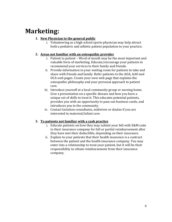## **Marketing:**

#### **1. New Physician to the general public**

i. Volunteering as a high school sports physician may help attract both a pediatric and athletic patient population to your practice.

#### **2. Areas not familiar with an osteopathic provider**

- i. Patient to patient Word of mouth may be the most important and valuable form of marketing. Educate/encourage your patients to recommend your services to their family and friends.
- ii. Provide information in your waiting room for patients to take and share with friends and family. Refer patients to the AOA, AAO and OCA web pages. Create your own web page that explains the osteopathic philosophy and your personal approach to patient care.
- iii. Introduce yourself at a local community group or nursing home. Give a presentation on a specific disease and how you have a unique set of skills to treat it. This educates potential patients, provides you with an opportunity to pass out business cards, and introduces you to the community.
- iv. Contact lactation consultants, midwives or doulas if you are interested in maternal/infant care.

#### **3. To patients not familiar with a cash practice**

- i. Educate patients on how they may submit your bill with E&M code to their insurance company for full or partial reimbursement after they have met their deductible, depending on their insurance.
- ii. Explain to your patients that their health insurance is a contract between the patient and the health insurance company. You may enter into a relationship to treat your patient, but it will be their responsibility to obtain reimbursement from their insurance company.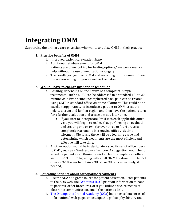## **Integrating OMM**

Supporting the primary care physician who wants to utilize OMM in their practice.

#### **1. Practice benefits of OMM**

- i. Improved patient care/patient base.
- ii. Additional reimbursement for OMM.
- iii. Patients are often looking for healing options/ answers/ medical help without the use of medications/surgery.
- iv. The results you get from OMM and searching for the cause of their ills are rewarding for you as well as the patient.

#### **2. Would I have to change my patient schedule?**

- i. Possibly, depending on the nature of a complaint. Simple treatments, such as, URI can be addressed in a standard 15- to 20 minute visit. Even acute uncomplicated back pain can be treated using OMT in standard office visit time allotment. This could be an excellent opportunity to introduce a patient to OMM, treat the pelvis, sacrum and lumbar region and then have the patient return for a further evaluation and treatment at a later time.
	- If you start to incorporate OMM into each applicable office visit, you will begin to realize that performing an evaluation and treating one or two (or over three to four) areas is completely reasonable in a routine office visit time allotment. Obviously there will be a learning curve and determining which treatments are the most efficient and effective will take time.
- ii. Another option would be to designate a specific set of office hours to OMT, such as a Wednesday afternoon. A suggestion would be to schedule patients for 30-minute visits, plan to complete an office visit (99213 or 99214) along with a full OMM treatment (up to 7-8 or even 9-10 areas to obtain a 98928 or 98929 respectively, if needed).

#### **3. Educating patients about osteopathic treatments**

- i. Use the AOA as a great source for patient education. Refer patients to the AOA web site ["What is a D.O."](http://www.osteopathic.org/osteopathic-health/about-dos/what-is-a-do/Pages/default.aspx), print off information to hand to patients, order brochures, or if you utilize a secure means of electronic communication, email the patient a link.
- ii. [The Osteopathic Cranial Academy \(OCA\)](http://www.cranialacademy.com/intro.html) has an excellent series of informational web pages on osteopathic philosophy, history and